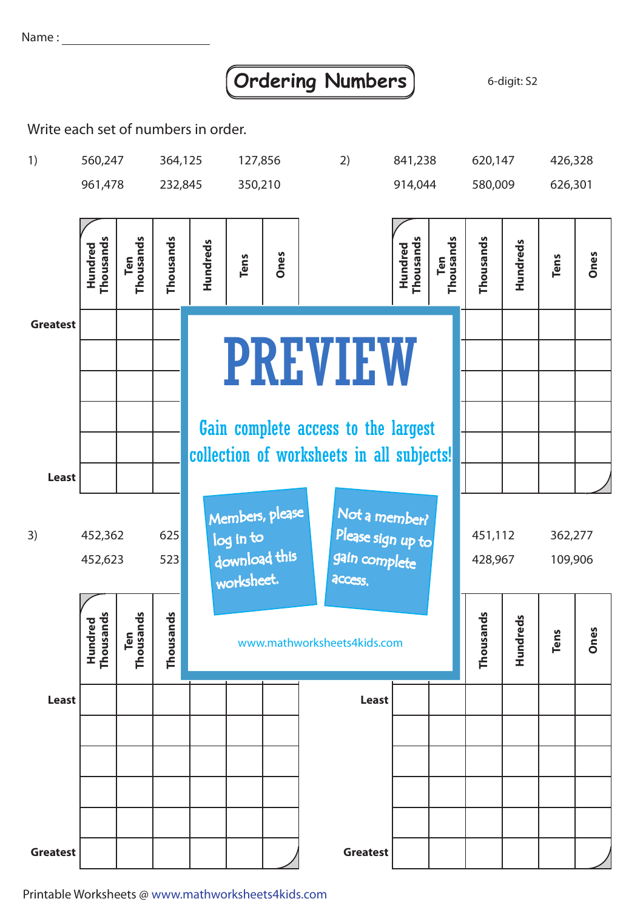Name:

## **Ordering Numbers** 6-digit: S2

Write each set of numbers in order.



Printable Worksheets @ www.mathworksheets4kids.com